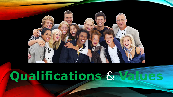

# **Qualifications** & **Values**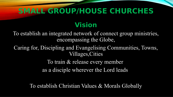## **SMALL GROUP/HOUSE CHURCHES**

### **Vision**

To establish an integrated network of connect group ministries, encompassing the Globe,

Caring for, Discipling and Evangelising Communities, Towns, Villages,Cities

To train & release every member

as a disciple wherever the Lord leads

To establish Christian Values & Morals Globally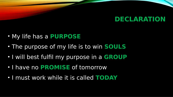#### **DECLARATION**

- My life has a **PURPOSE**
- The purpose of my life is to win **SOULS**
- I will best fulfil my purpose in a **GROUP**
- I have no **PROMISE** of tomorrow
- I must work while it is called **TODAY**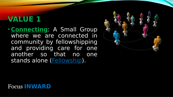### **VALUE 1**

• **Connecting**: A Small Group where we are connected in community by fellowshipping and providing care for one another so that no one stands alone (**Fellowship**).



#### Focus **INWARD**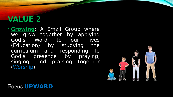### **VALUE 2**

• **Growing**: A Small Group where we grow together by applying God's Word to our lives (Education) by studying the curriculum and responding to God's presence by praying, singing, and praising together (Worship).



#### Focus **UPWARD**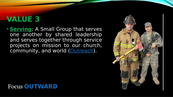### **VALUE 3**

• **Serving**: A Small Group that serves one another by shared leadership and serves together through service projects on mission to our church, community, and world (Outreach).

#### Focus **OUTWARD**

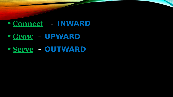### • **Connect - INWARD**

### • **Grow - UPWARD**

### • **Serve - OUTWARD**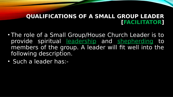#### **QUALIFICATIONS OF A SMALL GROUP LEADER [FACILITATOR]**

- The role of a Small Group/House Church Leader is to provide spiritual leadership and shepherding to members of the group. A leader will fit well into the following description.
- Such a leader has:-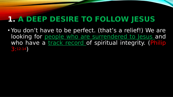### **1. A DEEP DESIRE TO FOLLOW JESUS**

• You don't have to be perfect. (that's a relief!) We are looking for people who are surrendered to Jesus and who have a track record of spiritual integrity. (Philip 3:12-14)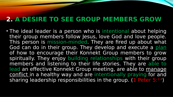#### **2. A DESIRE TO SEE GROUP MEMBERS GROW**

• The ideal leader is a person who is intentional about helping their group members follow Jesus, love God and love people. This person is mission-minded. They are fired up about what God can do in their group. They develop and execute a plan of how to encourage their Konnekt Group members to grow spiritually. They enjoy building relationships with their group members and listening to their life stories. They are able to lead an effective Konnekt Group meeting, are able to manage conflict in a healthy way and are intentionally praying for and sharing leadership responsibilities in the group.  $(1$  Peter 5:2-4)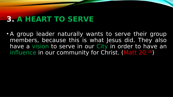### **3. A HEART TO SERVE**

• A group leader naturally wants to serve their group members, because this is what Jesus did. They also have a vision to serve in our City in order to have an influence in our community for Christ. (Matt 20:28)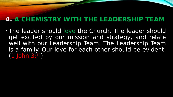#### **4. A CHEMISTRY WITH THE LEADERSHIP TEAM**

• The leader should love the Church. The leader should get excited by our mission and strategy, and relate well with our Leadership Team. The Leadership Team is a family. Our love for each other should be evident. (1 John 3:11)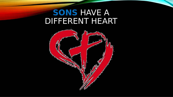### **SONS** HAVE A DIFFERENT HEART

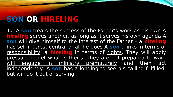**1.** A **son** treats the success of the Father's work as his own A **hireling** serves another, as long as it serves his own agenda A **son** will give himself to the interest of the Father – a **hireling** has self interest central of all he does A **son** thinks in terms of responsibility, a **hireling** in terms of rights. They will apply pressure to get what is theirs. They are not prepared to wait, will engage in ministry prematurely and then act independently. A **son** has a longing to see his calling fulfilled, but will do it out of serving.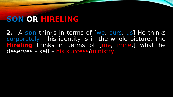**2.** A **son** thinks in terms of [we, ours, us] He thinks corporately – his identity is in the whole picture. The **Hireling** thinks in terms of [me, mine,] what he deserves – self – his success/ministry.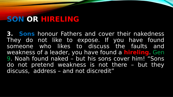**3. Sons** honour Fathers and cover their nakedness They do not like to expose. If you have found someone who likes to discuss the faults and weakness of a leader, you have found a **hireling**. Gen 9. Noah found naked – but his sons cover him! "Sons do not pretend weakness is not there – but they discuss, address – and not discredit"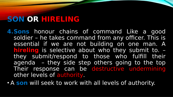**4.Sons** honour chains of command Like a good soldier – he takes command from any officer. This is essential if we are not building on one man. A **hireling** is selective about who they submit to. – they submit/respond to those who fulfill their agenda – they side step others going to the top Their response can be destructive undermining other levels of authority.

• A **son** will seek to work with all levels of authority.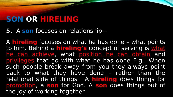**5.** A **son** focuses on relationship –

A **hireling** focuses on what he has done – what points to him. Behind a **hireling's** concept of serving is what he can achieve, what position he can obtain and privileges that go with what he has done E.g.. When such people break away from you they always point back to what they have done – rather than the relational side of things. A **hireling** does things for promotion, a **son** for God. A **son** does things out of the joy of working together